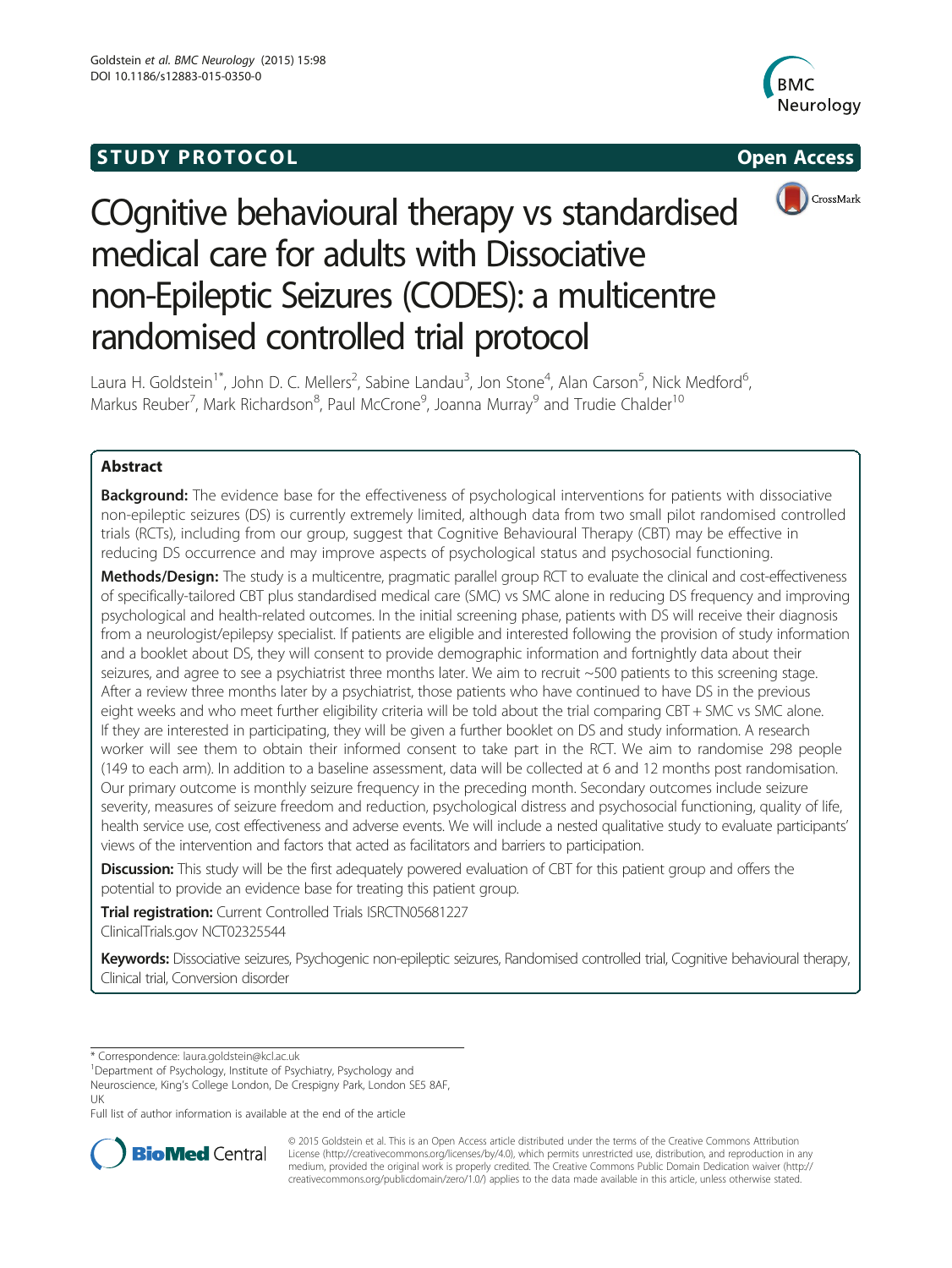## **STUDY PROTOCOL** And the set of the set of the set of the set of the set of the set of the set of the set of the set of the set of the set of the set of the set of the set of the set of the set of the set of the set of the





# COgnitive behavioural therapy vs standardised medical care for adults with Dissociative non-Epileptic Seizures (CODES): a multicentre randomised controlled trial protocol

Laura H. Goldstein<sup>1\*</sup>, John D. C. Mellers<sup>2</sup>, Sabine Landau<sup>3</sup>, Jon Stone<sup>4</sup>, Alan Carson<sup>5</sup>, Nick Medford<sup>6</sup> , Markus Reuber<sup>7</sup>, Mark Richardson<sup>8</sup>, Paul McCrone<sup>9</sup>, Joanna Murray<sup>9</sup> and Trudie Chalder<sup>10</sup>

## Abstract

Background: The evidence base for the effectiveness of psychological interventions for patients with dissociative non-epileptic seizures (DS) is currently extremely limited, although data from two small pilot randomised controlled trials (RCTs), including from our group, suggest that Cognitive Behavioural Therapy (CBT) may be effective in reducing DS occurrence and may improve aspects of psychological status and psychosocial functioning.

Methods/Design: The study is a multicentre, pragmatic parallel group RCT to evaluate the clinical and cost-effectiveness of specifically-tailored CBT plus standardised medical care (SMC) vs SMC alone in reducing DS frequency and improving psychological and health-related outcomes. In the initial screening phase, patients with DS will receive their diagnosis from a neurologist/epilepsy specialist. If patients are eligible and interested following the provision of study information and a booklet about DS, they will consent to provide demographic information and fortnightly data about their seizures, and agree to see a psychiatrist three months later. We aim to recruit ~500 patients to this screening stage. After a review three months later by a psychiatrist, those patients who have continued to have DS in the previous eight weeks and who meet further eligibility criteria will be told about the trial comparing CBT + SMC vs SMC alone. If they are interested in participating, they will be given a further booklet on DS and study information. A research worker will see them to obtain their informed consent to take part in the RCT. We aim to randomise 298 people (149 to each arm). In addition to a baseline assessment, data will be collected at 6 and 12 months post randomisation. Our primary outcome is monthly seizure frequency in the preceding month. Secondary outcomes include seizure severity, measures of seizure freedom and reduction, psychological distress and psychosocial functioning, quality of life, health service use, cost effectiveness and adverse events. We will include a nested qualitative study to evaluate participants' views of the intervention and factors that acted as facilitators and barriers to participation.

**Discussion:** This study will be the first adequately powered evaluation of CBT for this patient group and offers the potential to provide an evidence base for treating this patient group.

Trial registration: Current Controlled Trials [ISRCTN05681227](http://www.isrctn.com/ISRCTN05681227) ClinicalTrials.gov [NCT02325544](https://clinicaltrials.gov/ct2/show/NCT02325544)

Keywords: Dissociative seizures, Psychogenic non-epileptic seizures, Randomised controlled trial, Cognitive behavioural therapy, Clinical trial, Conversion disorder

\* Correspondence: [laura.goldstein@kcl.ac.uk](mailto:laura.goldstein@kcl.ac.uk) <sup>1</sup>

Department of Psychology, Institute of Psychiatry, Psychology and

Neuroscience, King's College London, De Crespigny Park, London SE5 8AF, UK

Full list of author information is available at the end of the article



© 2015 Goldstein et al. This is an Open Access article distributed under the terms of the Creative Commons Attribution License (<http://creativecommons.org/licenses/by/4.0>), which permits unrestricted use, distribution, and reproduction in any medium, provided the original work is properly credited. The Creative Commons Public Domain Dedication waiver [\(http://](http://creativecommons.org/publicdomain/zero/1.0/) [creativecommons.org/publicdomain/zero/1.0/\)](http://creativecommons.org/publicdomain/zero/1.0/) applies to the data made available in this article, unless otherwise stated.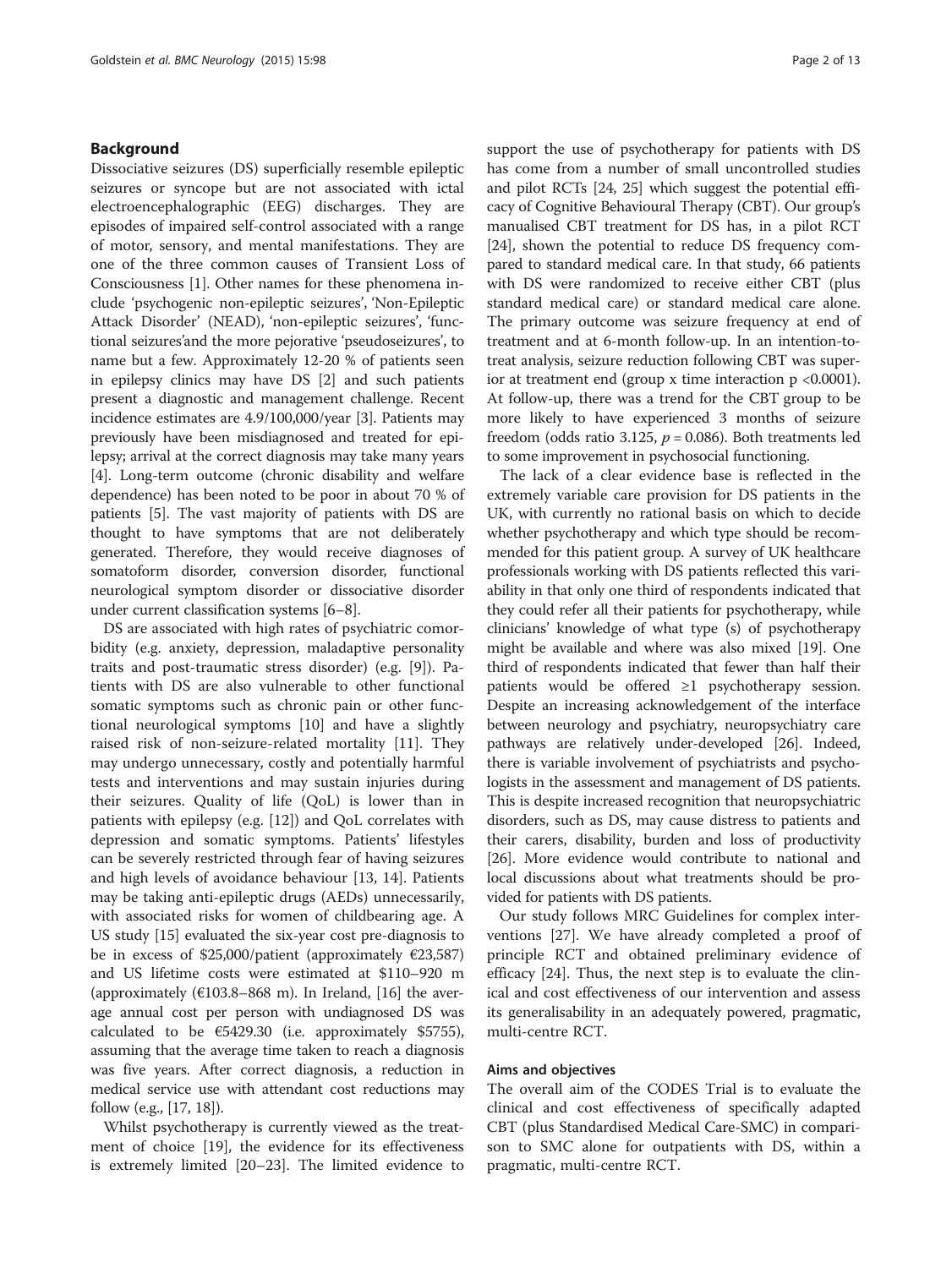#### Background

Dissociative seizures (DS) superficially resemble epileptic seizures or syncope but are not associated with ictal electroencephalographic (EEG) discharges. They are episodes of impaired self-control associated with a range of motor, sensory, and mental manifestations. They are one of the three common causes of Transient Loss of Consciousness [\[1](#page-11-0)]. Other names for these phenomena include 'psychogenic non-epileptic seizures', 'Non-Epileptic Attack Disorder' (NEAD), 'non-epileptic seizures', 'functional seizures'and the more pejorative 'pseudoseizures', to name but a few. Approximately 12-20 % of patients seen in epilepsy clinics may have DS [\[2](#page-11-0)] and such patients present a diagnostic and management challenge. Recent incidence estimates are 4.9/100,000/year [[3\]](#page-11-0). Patients may previously have been misdiagnosed and treated for epilepsy; arrival at the correct diagnosis may take many years [[4\]](#page-11-0). Long-term outcome (chronic disability and welfare dependence) has been noted to be poor in about 70 % of patients [\[5\]](#page-11-0). The vast majority of patients with DS are thought to have symptoms that are not deliberately generated. Therefore, they would receive diagnoses of somatoform disorder, conversion disorder, functional neurological symptom disorder or dissociative disorder under current classification systems [\[6](#page-11-0)–[8](#page-11-0)].

DS are associated with high rates of psychiatric comorbidity (e.g. anxiety, depression, maladaptive personality traits and post-traumatic stress disorder) (e.g. [\[9\]](#page-11-0)). Patients with DS are also vulnerable to other functional somatic symptoms such as chronic pain or other functional neurological symptoms [\[10](#page-11-0)] and have a slightly raised risk of non-seizure-related mortality [[11](#page-11-0)]. They may undergo unnecessary, costly and potentially harmful tests and interventions and may sustain injuries during their seizures. Quality of life (QoL) is lower than in patients with epilepsy (e.g. [\[12](#page-11-0)]) and QoL correlates with depression and somatic symptoms. Patients' lifestyles can be severely restricted through fear of having seizures and high levels of avoidance behaviour [\[13,](#page-11-0) [14](#page-12-0)]. Patients may be taking anti-epileptic drugs (AEDs) unnecessarily, with associated risks for women of childbearing age. A US study [[15](#page-12-0)] evaluated the six-year cost pre-diagnosis to be in excess of \$25,000/patient (approximately  $\epsilon$ 23,587) and US lifetime costs were estimated at \$110–920 m (approximately  $(\text{\textsterling}103.8-868 \text{ m})$ . In Ireland, [[16](#page-12-0)] the average annual cost per person with undiagnosed DS was calculated to be  $€5429.30$  (i.e. approximately \$5755), assuming that the average time taken to reach a diagnosis was five years. After correct diagnosis, a reduction in medical service use with attendant cost reductions may follow (e.g., [[17](#page-12-0), [18\]](#page-12-0)).

Whilst psychotherapy is currently viewed as the treatment of choice [\[19\]](#page-12-0), the evidence for its effectiveness is extremely limited [\[20](#page-12-0)–[23\]](#page-12-0). The limited evidence to

support the use of psychotherapy for patients with DS has come from a number of small uncontrolled studies and pilot RCTs [\[24, 25](#page-12-0)] which suggest the potential efficacy of Cognitive Behavioural Therapy (CBT). Our group's manualised CBT treatment for DS has, in a pilot RCT [[24](#page-12-0)], shown the potential to reduce DS frequency compared to standard medical care. In that study, 66 patients with DS were randomized to receive either CBT (plus standard medical care) or standard medical care alone. The primary outcome was seizure frequency at end of treatment and at 6-month follow-up. In an intention-totreat analysis, seizure reduction following CBT was superior at treatment end (group x time interaction  $p \lt 0.0001$ ). At follow-up, there was a trend for the CBT group to be more likely to have experienced 3 months of seizure freedom (odds ratio 3.125,  $p = 0.086$ ). Both treatments led to some improvement in psychosocial functioning.

The lack of a clear evidence base is reflected in the extremely variable care provision for DS patients in the UK, with currently no rational basis on which to decide whether psychotherapy and which type should be recommended for this patient group. A survey of UK healthcare professionals working with DS patients reflected this variability in that only one third of respondents indicated that they could refer all their patients for psychotherapy, while clinicians' knowledge of what type (s) of psychotherapy might be available and where was also mixed [\[19\]](#page-12-0). One third of respondents indicated that fewer than half their patients would be offered ≥1 psychotherapy session. Despite an increasing acknowledgement of the interface between neurology and psychiatry, neuropsychiatry care pathways are relatively under-developed [\[26\]](#page-12-0). Indeed, there is variable involvement of psychiatrists and psychologists in the assessment and management of DS patients. This is despite increased recognition that neuropsychiatric disorders, such as DS, may cause distress to patients and their carers, disability, burden and loss of productivity [[26](#page-12-0)]. More evidence would contribute to national and local discussions about what treatments should be provided for patients with DS patients.

Our study follows MRC Guidelines for complex interventions [[27](#page-12-0)]. We have already completed a proof of principle RCT and obtained preliminary evidence of efficacy [[24](#page-12-0)]. Thus, the next step is to evaluate the clinical and cost effectiveness of our intervention and assess its generalisability in an adequately powered, pragmatic, multi-centre RCT.

#### Aims and objectives

The overall aim of the CODES Trial is to evaluate the clinical and cost effectiveness of specifically adapted CBT (plus Standardised Medical Care-SMC) in comparison to SMC alone for outpatients with DS, within a pragmatic, multi-centre RCT.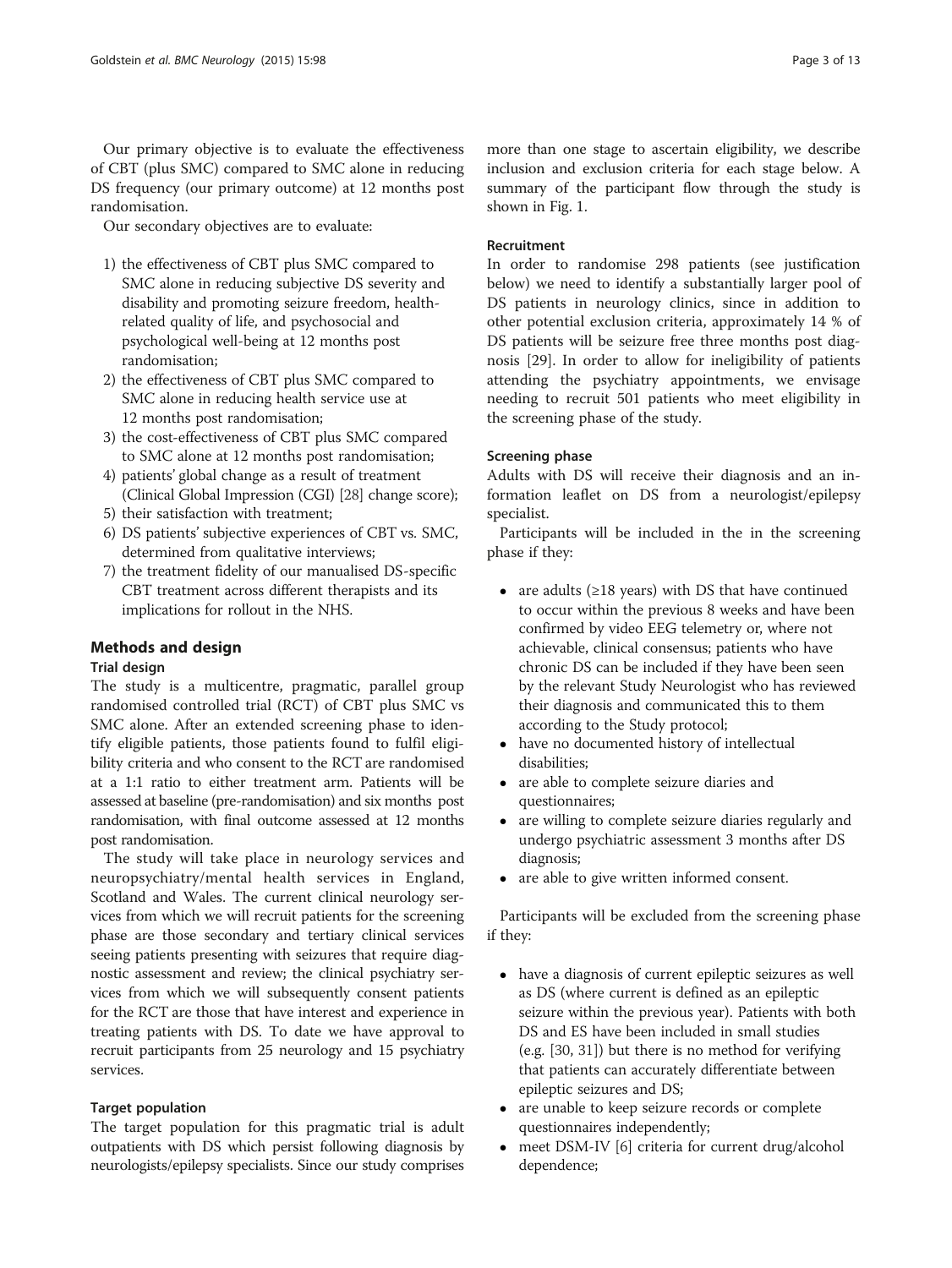Our primary objective is to evaluate the effectiveness of CBT (plus SMC) compared to SMC alone in reducing DS frequency (our primary outcome) at 12 months post randomisation.

Our secondary objectives are to evaluate:

- 1) the effectiveness of CBT plus SMC compared to SMC alone in reducing subjective DS severity and disability and promoting seizure freedom, healthrelated quality of life, and psychosocial and psychological well-being at 12 months post randomisation;
- 2) the effectiveness of CBT plus SMC compared to SMC alone in reducing health service use at 12 months post randomisation;
- 3) the cost-effectiveness of CBT plus SMC compared to SMC alone at 12 months post randomisation;
- 4) patients' global change as a result of treatment (Clinical Global Impression (CGI) [\[28\]](#page-12-0) change score);
- 5) their satisfaction with treatment;
- 6) DS patients' subjective experiences of CBT vs. SMC, determined from qualitative interviews;
- 7) the treatment fidelity of our manualised DS-specific CBT treatment across different therapists and its implications for rollout in the NHS.

## Methods and design

### Trial design

The study is a multicentre, pragmatic, parallel group randomised controlled trial (RCT) of CBT plus SMC vs SMC alone. After an extended screening phase to identify eligible patients, those patients found to fulfil eligibility criteria and who consent to the RCT are randomised at a 1:1 ratio to either treatment arm. Patients will be assessed at baseline (pre-randomisation) and six months post randomisation, with final outcome assessed at 12 months post randomisation.

The study will take place in neurology services and neuropsychiatry/mental health services in England, Scotland and Wales. The current clinical neurology services from which we will recruit patients for the screening phase are those secondary and tertiary clinical services seeing patients presenting with seizures that require diagnostic assessment and review; the clinical psychiatry services from which we will subsequently consent patients for the RCT are those that have interest and experience in treating patients with DS. To date we have approval to recruit participants from 25 neurology and 15 psychiatry services.

## Target population

The target population for this pragmatic trial is adult outpatients with DS which persist following diagnosis by neurologists/epilepsy specialists. Since our study comprises

more than one stage to ascertain eligibility, we describe inclusion and exclusion criteria for each stage below. A summary of the participant flow through the study is shown in Fig. [1](#page-3-0).

## Recruitment

In order to randomise 298 patients (see justification below) we need to identify a substantially larger pool of DS patients in neurology clinics, since in addition to other potential exclusion criteria, approximately 14 % of DS patients will be seizure free three months post diagnosis [[29\]](#page-12-0). In order to allow for ineligibility of patients attending the psychiatry appointments, we envisage needing to recruit 501 patients who meet eligibility in the screening phase of the study.

## Screening phase

Adults with DS will receive their diagnosis and an information leaflet on DS from a neurologist/epilepsy specialist.

Participants will be included in the in the screening phase if they:

- are adults ( $\geq$ 18 years) with DS that have continued to occur within the previous 8 weeks and have been confirmed by video EEG telemetry or, where not achievable, clinical consensus; patients who have chronic DS can be included if they have been seen by the relevant Study Neurologist who has reviewed their diagnosis and communicated this to them according to the Study protocol;
- have no documented history of intellectual disabilities;
- are able to complete seizure diaries and questionnaires;
- are willing to complete seizure diaries regularly and undergo psychiatric assessment 3 months after DS diagnosis;
- are able to give written informed consent.

Participants will be excluded from the screening phase if they:

- have a diagnosis of current epileptic seizures as well as DS (where current is defined as an epileptic seizure within the previous year). Patients with both DS and ES have been included in small studies (e.g. [\[30,](#page-12-0) [31\]](#page-12-0)) but there is no method for verifying that patients can accurately differentiate between epileptic seizures and DS;
- are unable to keep seizure records or complete questionnaires independently;
- meet DSM-IV [\[6\]](#page-11-0) criteria for current drug/alcohol dependence;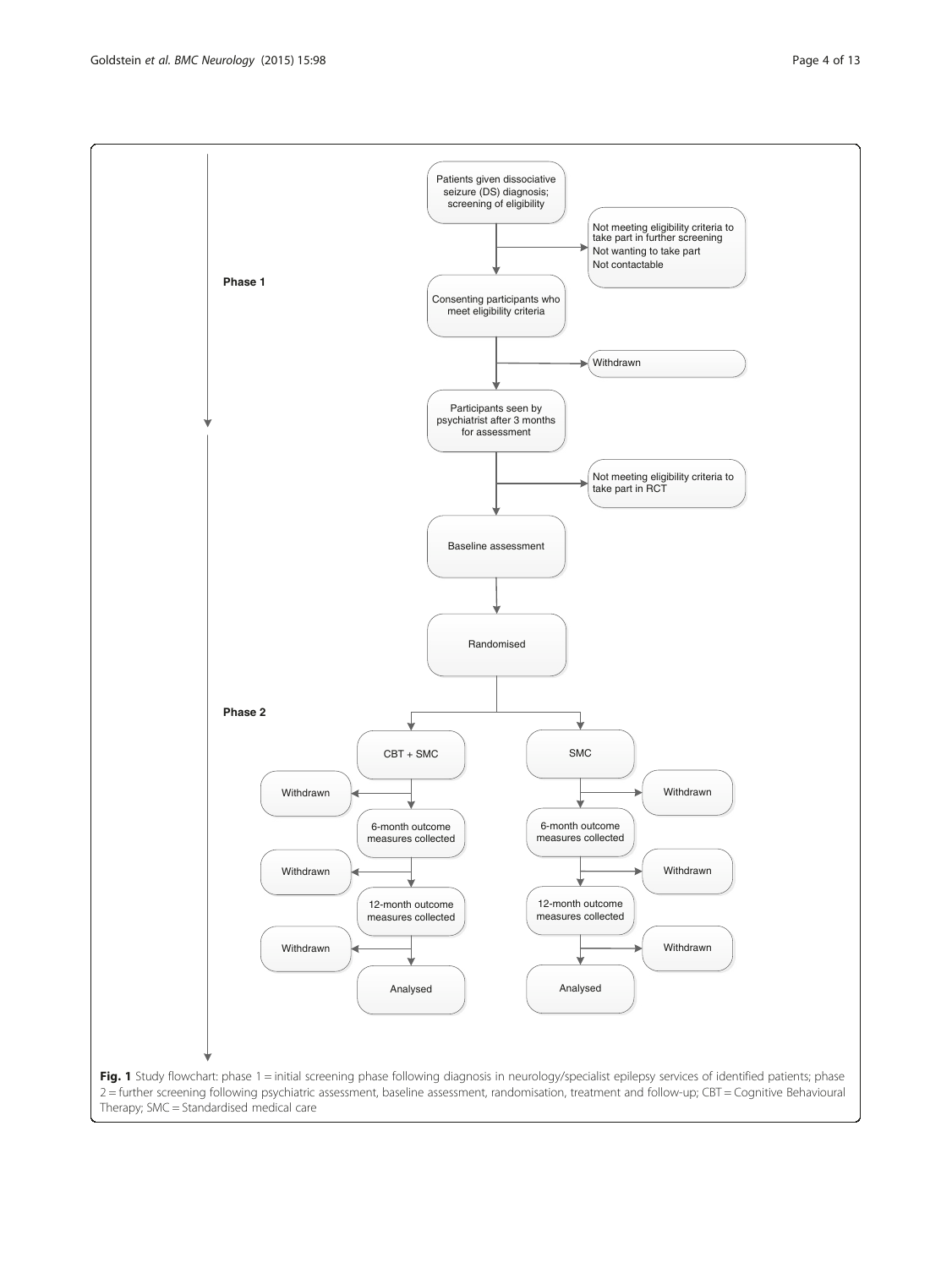<span id="page-3-0"></span>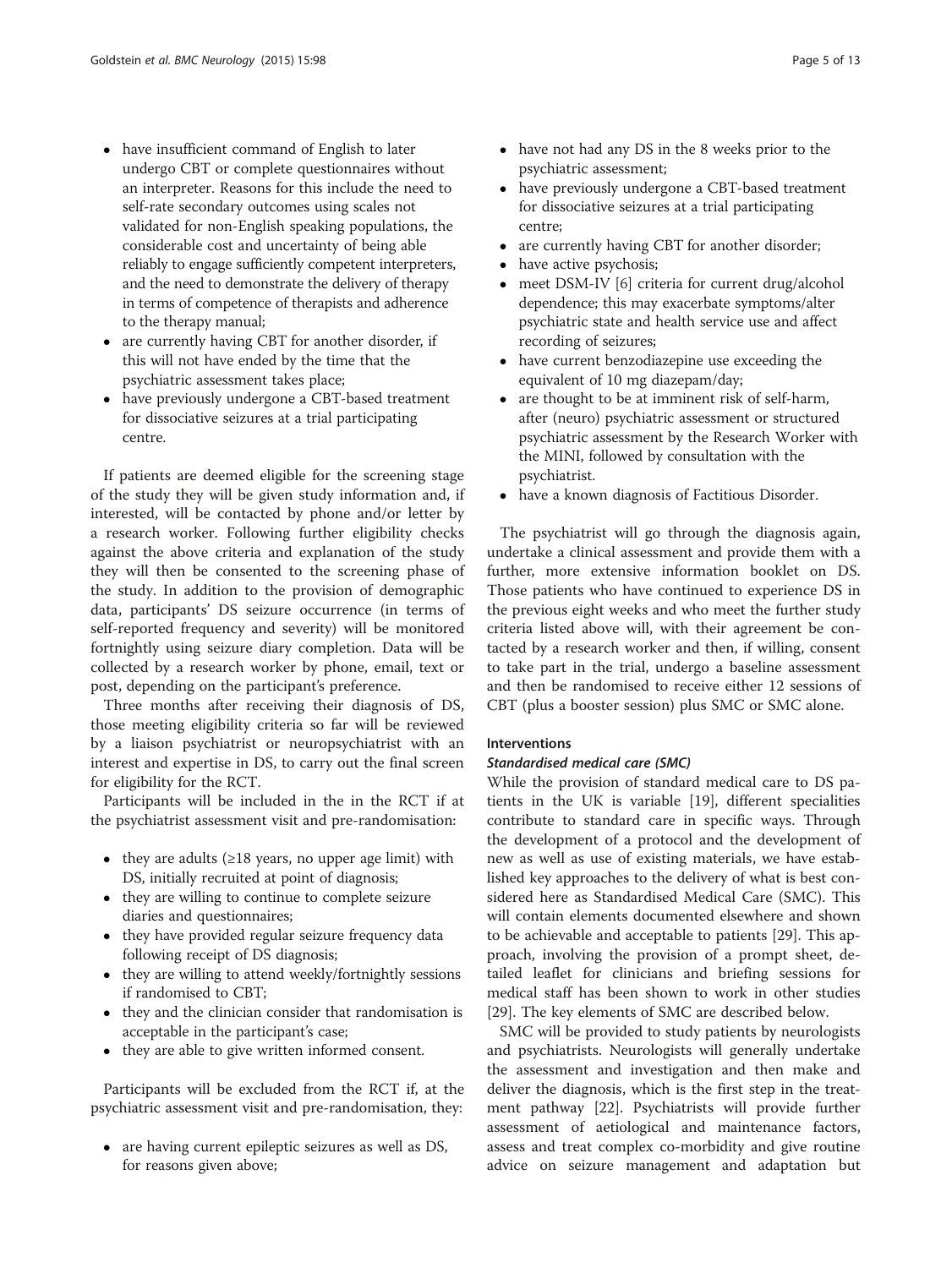- have insufficient command of English to later undergo CBT or complete questionnaires without an interpreter. Reasons for this include the need to self-rate secondary outcomes using scales not validated for non-English speaking populations, the considerable cost and uncertainty of being able reliably to engage sufficiently competent interpreters, and the need to demonstrate the delivery of therapy in terms of competence of therapists and adherence to the therapy manual;
- are currently having CBT for another disorder, if this will not have ended by the time that the psychiatric assessment takes place;
- have previously undergone a CBT-based treatment for dissociative seizures at a trial participating centre.

If patients are deemed eligible for the screening stage of the study they will be given study information and, if interested, will be contacted by phone and/or letter by a research worker. Following further eligibility checks against the above criteria and explanation of the study they will then be consented to the screening phase of the study. In addition to the provision of demographic data, participants' DS seizure occurrence (in terms of self-reported frequency and severity) will be monitored fortnightly using seizure diary completion. Data will be collected by a research worker by phone, email, text or post, depending on the participant's preference.

Three months after receiving their diagnosis of DS, those meeting eligibility criteria so far will be reviewed by a liaison psychiatrist or neuropsychiatrist with an interest and expertise in DS, to carry out the final screen for eligibility for the RCT.

Participants will be included in the in the RCT if at the psychiatrist assessment visit and pre-randomisation:

- they are adults  $(\geq 18$  years, no upper age limit) with DS, initially recruited at point of diagnosis;
- they are willing to continue to complete seizure diaries and questionnaires;
- they have provided regular seizure frequency data following receipt of DS diagnosis;
- they are willing to attend weekly/fortnightly sessions if randomised to CBT;
- they and the clinician consider that randomisation is acceptable in the participant's case;
- they are able to give written informed consent.

Participants will be excluded from the RCT if, at the psychiatric assessment visit and pre-randomisation, they:

• are having current epileptic seizures as well as DS, for reasons given above;

- have not had any DS in the 8 weeks prior to the psychiatric assessment;
- have previously undergone a CBT-based treatment for dissociative seizures at a trial participating centre;
- are currently having CBT for another disorder;<br>• have active psychosis:
- have active psychosis;<br>• meet DSM-IV [6] crit
- meet DSM-IV [\[6\]](#page-11-0) criteria for current drug/alcohol dependence; this may exacerbate symptoms/alter psychiatric state and health service use and affect recording of seizures;
- have current benzodiazepine use exceeding the equivalent of 10 mg diazepam/day;
- are thought to be at imminent risk of self-harm, after (neuro) psychiatric assessment or structured psychiatric assessment by the Research Worker with the MINI, followed by consultation with the psychiatrist.
- have a known diagnosis of Factitious Disorder.

The psychiatrist will go through the diagnosis again, undertake a clinical assessment and provide them with a further, more extensive information booklet on DS. Those patients who have continued to experience DS in the previous eight weeks and who meet the further study criteria listed above will, with their agreement be contacted by a research worker and then, if willing, consent to take part in the trial, undergo a baseline assessment and then be randomised to receive either 12 sessions of CBT (plus a booster session) plus SMC or SMC alone.

## Interventions

#### Standardised medical care (SMC)

While the provision of standard medical care to DS patients in the UK is variable [\[19](#page-12-0)], different specialities contribute to standard care in specific ways. Through the development of a protocol and the development of new as well as use of existing materials, we have established key approaches to the delivery of what is best considered here as Standardised Medical Care (SMC). This will contain elements documented elsewhere and shown to be achievable and acceptable to patients [\[29](#page-12-0)]. This approach, involving the provision of a prompt sheet, detailed leaflet for clinicians and briefing sessions for medical staff has been shown to work in other studies [[29\]](#page-12-0). The key elements of SMC are described below.

SMC will be provided to study patients by neurologists and psychiatrists. Neurologists will generally undertake the assessment and investigation and then make and deliver the diagnosis, which is the first step in the treatment pathway [[22\]](#page-12-0). Psychiatrists will provide further assessment of aetiological and maintenance factors, assess and treat complex co-morbidity and give routine advice on seizure management and adaptation but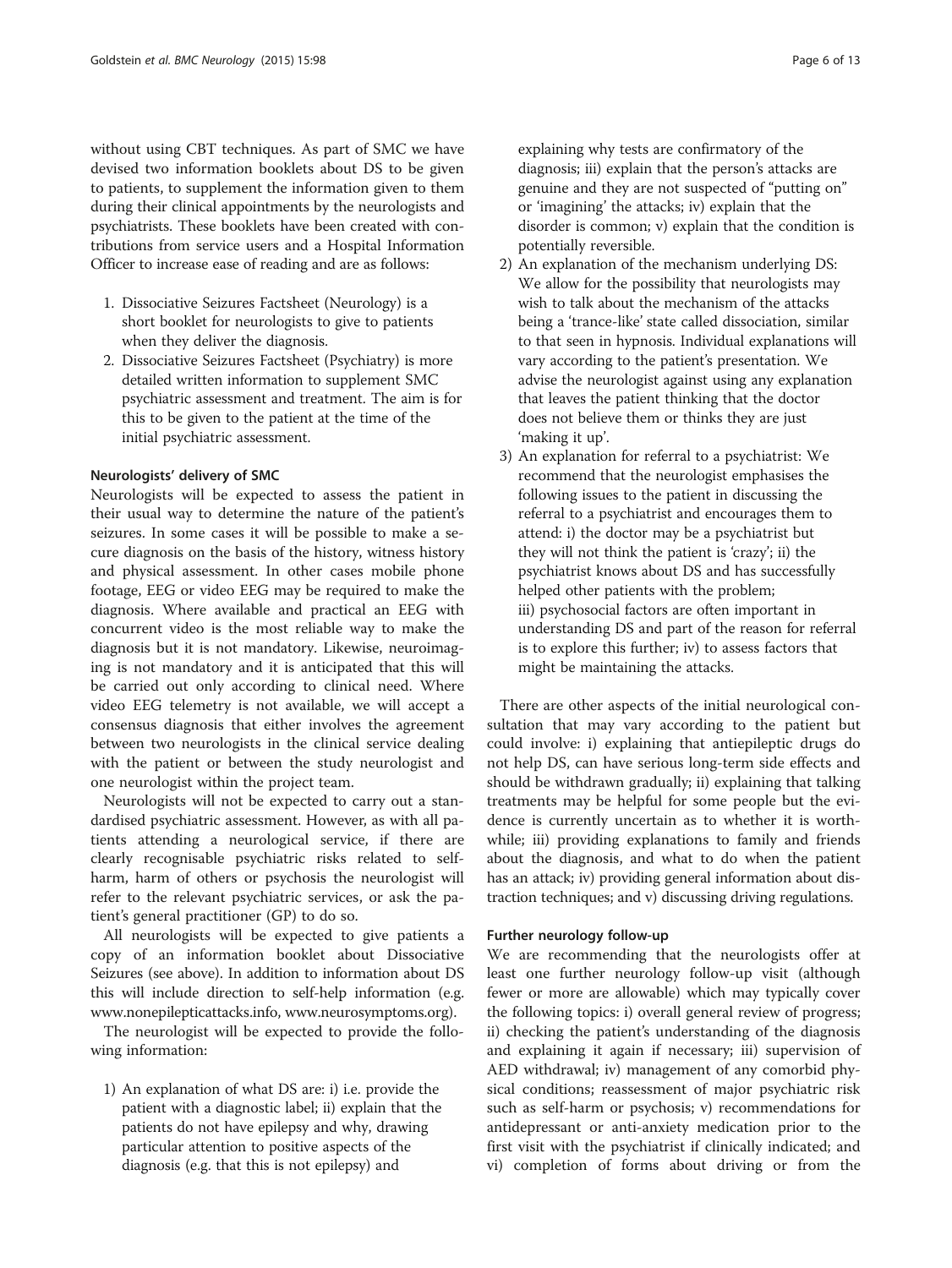without using CBT techniques. As part of SMC we have devised two information booklets about DS to be given to patients, to supplement the information given to them during their clinical appointments by the neurologists and psychiatrists. These booklets have been created with contributions from service users and a Hospital Information Officer to increase ease of reading and are as follows:

- 1. Dissociative Seizures Factsheet (Neurology) is a short booklet for neurologists to give to patients when they deliver the diagnosis.
- 2. Dissociative Seizures Factsheet (Psychiatry) is more detailed written information to supplement SMC psychiatric assessment and treatment. The aim is for this to be given to the patient at the time of the initial psychiatric assessment.

#### Neurologists' delivery of SMC

Neurologists will be expected to assess the patient in their usual way to determine the nature of the patient's seizures. In some cases it will be possible to make a secure diagnosis on the basis of the history, witness history and physical assessment. In other cases mobile phone footage, EEG or video EEG may be required to make the diagnosis. Where available and practical an EEG with concurrent video is the most reliable way to make the diagnosis but it is not mandatory. Likewise, neuroimaging is not mandatory and it is anticipated that this will be carried out only according to clinical need. Where video EEG telemetry is not available, we will accept a consensus diagnosis that either involves the agreement between two neurologists in the clinical service dealing with the patient or between the study neurologist and one neurologist within the project team.

Neurologists will not be expected to carry out a standardised psychiatric assessment. However, as with all patients attending a neurological service, if there are clearly recognisable psychiatric risks related to selfharm, harm of others or psychosis the neurologist will refer to the relevant psychiatric services, or ask the patient's general practitioner (GP) to do so.

All neurologists will be expected to give patients a copy of an information booklet about Dissociative Seizures (see above). In addition to information about DS this will include direction to self-help information (e.g. [www.nonepilepticattacks.info,](http://www.nonepilepticattacks.info) [www.neurosymptoms.org\)](http://www.neurosymptoms.org).

The neurologist will be expected to provide the following information:

1) An explanation of what DS are: i) i.e. provide the patient with a diagnostic label; ii) explain that the patients do not have epilepsy and why, drawing particular attention to positive aspects of the diagnosis (e.g. that this is not epilepsy) and

explaining why tests are confirmatory of the diagnosis; iii) explain that the person's attacks are genuine and they are not suspected of "putting on" or 'imagining' the attacks; iv) explain that the disorder is common; v) explain that the condition is potentially reversible.

- 2) An explanation of the mechanism underlying DS: We allow for the possibility that neurologists may wish to talk about the mechanism of the attacks being a 'trance-like' state called dissociation, similar to that seen in hypnosis. Individual explanations will vary according to the patient's presentation. We advise the neurologist against using any explanation that leaves the patient thinking that the doctor does not believe them or thinks they are just 'making it up'.
- 3) An explanation for referral to a psychiatrist: We recommend that the neurologist emphasises the following issues to the patient in discussing the referral to a psychiatrist and encourages them to attend: i) the doctor may be a psychiatrist but they will not think the patient is 'crazy'; ii) the psychiatrist knows about DS and has successfully helped other patients with the problem; iii) psychosocial factors are often important in understanding DS and part of the reason for referral is to explore this further; iv) to assess factors that might be maintaining the attacks.

There are other aspects of the initial neurological consultation that may vary according to the patient but could involve: i) explaining that antiepileptic drugs do not help DS, can have serious long-term side effects and should be withdrawn gradually; ii) explaining that talking treatments may be helpful for some people but the evidence is currently uncertain as to whether it is worthwhile; iii) providing explanations to family and friends about the diagnosis, and what to do when the patient has an attack; iv) providing general information about distraction techniques; and v) discussing driving regulations.

#### Further neurology follow-up

We are recommending that the neurologists offer at least one further neurology follow-up visit (although fewer or more are allowable) which may typically cover the following topics: i) overall general review of progress; ii) checking the patient's understanding of the diagnosis and explaining it again if necessary; iii) supervision of AED withdrawal; iv) management of any comorbid physical conditions; reassessment of major psychiatric risk such as self-harm or psychosis; v) recommendations for antidepressant or anti-anxiety medication prior to the first visit with the psychiatrist if clinically indicated; and vi) completion of forms about driving or from the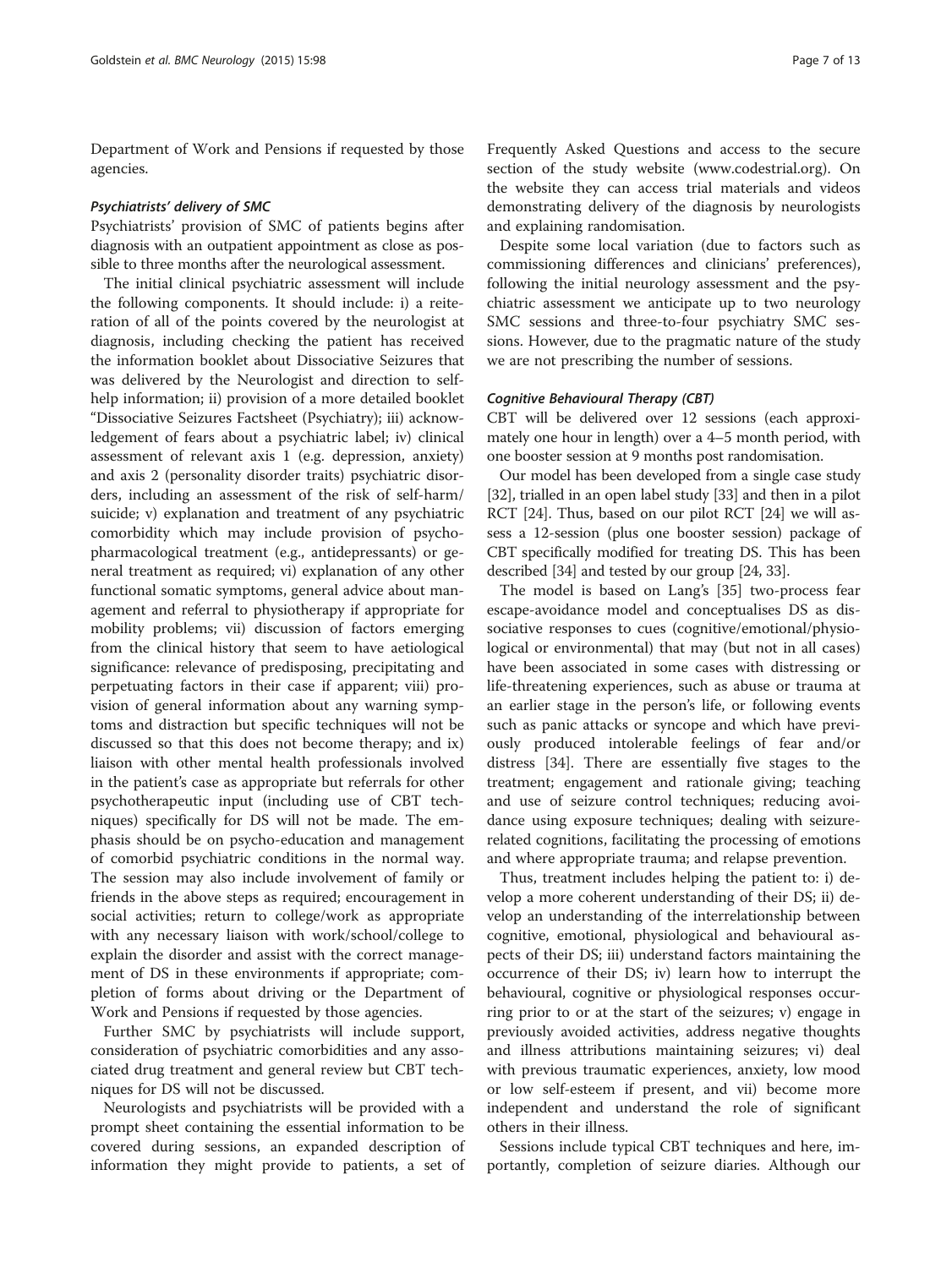Department of Work and Pensions if requested by those agencies.

#### Psychiatrists' delivery of SMC

Psychiatrists' provision of SMC of patients begins after diagnosis with an outpatient appointment as close as possible to three months after the neurological assessment.

The initial clinical psychiatric assessment will include the following components. It should include: i) a reiteration of all of the points covered by the neurologist at diagnosis, including checking the patient has received the information booklet about Dissociative Seizures that was delivered by the Neurologist and direction to selfhelp information; ii) provision of a more detailed booklet "Dissociative Seizures Factsheet (Psychiatry); iii) acknowledgement of fears about a psychiatric label; iv) clinical assessment of relevant axis 1 (e.g. depression, anxiety) and axis 2 (personality disorder traits) psychiatric disorders, including an assessment of the risk of self-harm/ suicide; v) explanation and treatment of any psychiatric comorbidity which may include provision of psychopharmacological treatment (e.g., antidepressants) or general treatment as required; vi) explanation of any other functional somatic symptoms, general advice about management and referral to physiotherapy if appropriate for mobility problems; vii) discussion of factors emerging from the clinical history that seem to have aetiological significance: relevance of predisposing, precipitating and perpetuating factors in their case if apparent; viii) provision of general information about any warning symptoms and distraction but specific techniques will not be discussed so that this does not become therapy; and ix) liaison with other mental health professionals involved in the patient's case as appropriate but referrals for other psychotherapeutic input (including use of CBT techniques) specifically for DS will not be made. The emphasis should be on psycho-education and management of comorbid psychiatric conditions in the normal way. The session may also include involvement of family or friends in the above steps as required; encouragement in social activities; return to college/work as appropriate with any necessary liaison with work/school/college to explain the disorder and assist with the correct management of DS in these environments if appropriate; completion of forms about driving or the Department of Work and Pensions if requested by those agencies.

Further SMC by psychiatrists will include support, consideration of psychiatric comorbidities and any associated drug treatment and general review but CBT techniques for DS will not be discussed.

Neurologists and psychiatrists will be provided with a prompt sheet containing the essential information to be covered during sessions, an expanded description of information they might provide to patients, a set of

Frequently Asked Questions and access to the secure section of the study website [\(www.codestrial.org\)](http://www.codestrial.org). On the website they can access trial materials and videos demonstrating delivery of the diagnosis by neurologists and explaining randomisation.

Despite some local variation (due to factors such as commissioning differences and clinicians' preferences), following the initial neurology assessment and the psychiatric assessment we anticipate up to two neurology SMC sessions and three-to-four psychiatry SMC sessions. However, due to the pragmatic nature of the study we are not prescribing the number of sessions.

#### Cognitive Behavioural Therapy (CBT)

CBT will be delivered over 12 sessions (each approximately one hour in length) over a 4–5 month period, with one booster session at 9 months post randomisation.

Our model has been developed from a single case study [[32](#page-12-0)], trialled in an open label study [\[33](#page-12-0)] and then in a pilot RCT [\[24\]](#page-12-0). Thus, based on our pilot RCT [[24](#page-12-0)] we will assess a 12-session (plus one booster session) package of CBT specifically modified for treating DS. This has been described [\[34](#page-12-0)] and tested by our group [\[24, 33](#page-12-0)].

The model is based on Lang's [[35](#page-12-0)] two-process fear escape-avoidance model and conceptualises DS as dissociative responses to cues (cognitive/emotional/physiological or environmental) that may (but not in all cases) have been associated in some cases with distressing or life-threatening experiences, such as abuse or trauma at an earlier stage in the person's life, or following events such as panic attacks or syncope and which have previously produced intolerable feelings of fear and/or distress [\[34\]](#page-12-0). There are essentially five stages to the treatment; engagement and rationale giving; teaching and use of seizure control techniques; reducing avoidance using exposure techniques; dealing with seizurerelated cognitions, facilitating the processing of emotions and where appropriate trauma; and relapse prevention.

Thus, treatment includes helping the patient to: i) develop a more coherent understanding of their DS; ii) develop an understanding of the interrelationship between cognitive, emotional, physiological and behavioural aspects of their DS; iii) understand factors maintaining the occurrence of their DS; iv) learn how to interrupt the behavioural, cognitive or physiological responses occurring prior to or at the start of the seizures; v) engage in previously avoided activities, address negative thoughts and illness attributions maintaining seizures; vi) deal with previous traumatic experiences, anxiety, low mood or low self-esteem if present, and vii) become more independent and understand the role of significant others in their illness.

Sessions include typical CBT techniques and here, importantly, completion of seizure diaries. Although our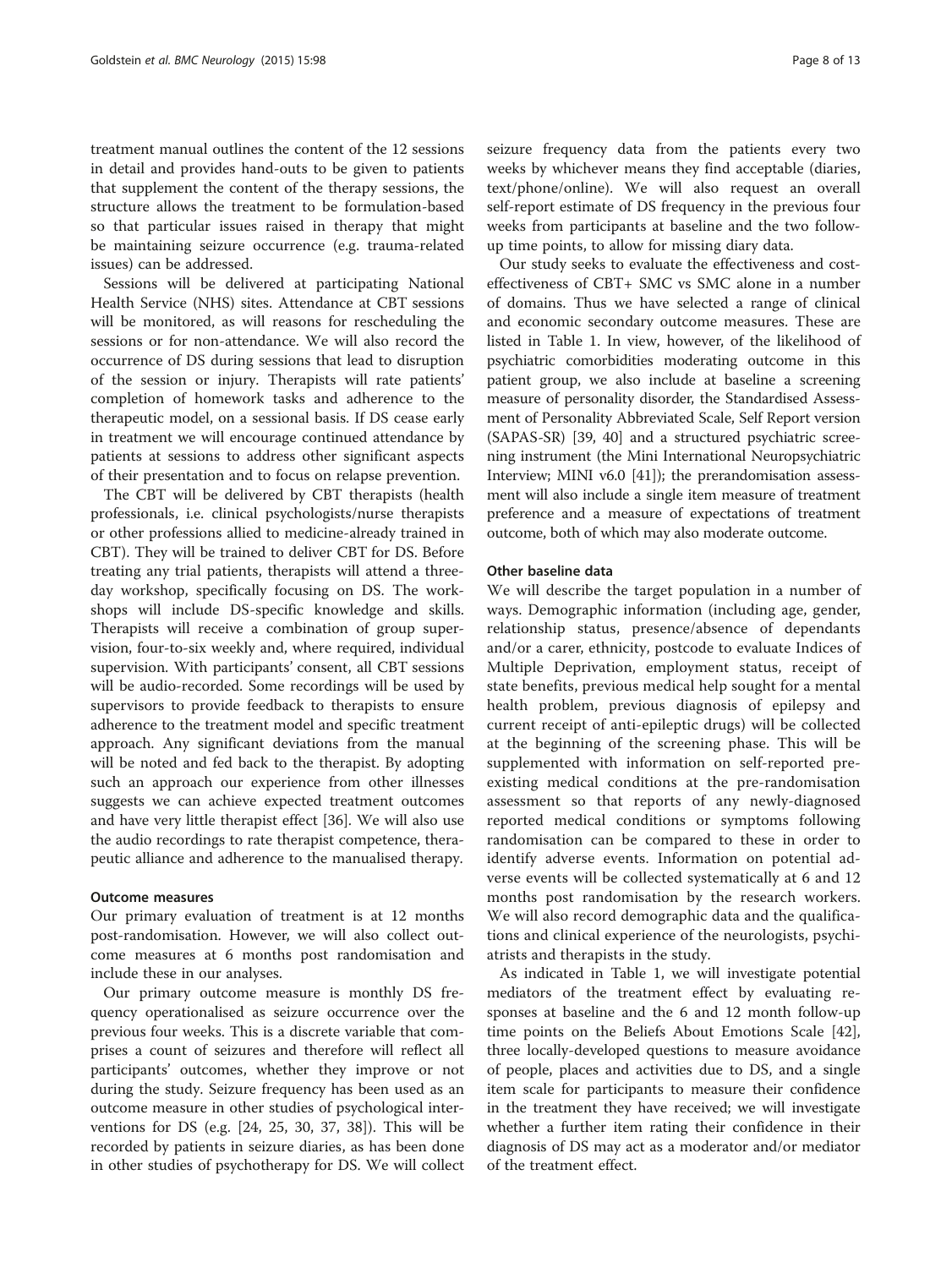treatment manual outlines the content of the 12 sessions in detail and provides hand-outs to be given to patients that supplement the content of the therapy sessions, the structure allows the treatment to be formulation-based so that particular issues raised in therapy that might be maintaining seizure occurrence (e.g. trauma-related issues) can be addressed.

Sessions will be delivered at participating National Health Service (NHS) sites. Attendance at CBT sessions will be monitored, as will reasons for rescheduling the sessions or for non-attendance. We will also record the occurrence of DS during sessions that lead to disruption of the session or injury. Therapists will rate patients' completion of homework tasks and adherence to the therapeutic model, on a sessional basis. If DS cease early in treatment we will encourage continued attendance by patients at sessions to address other significant aspects of their presentation and to focus on relapse prevention.

The CBT will be delivered by CBT therapists (health professionals, i.e. clinical psychologists/nurse therapists or other professions allied to medicine-already trained in CBT). They will be trained to deliver CBT for DS. Before treating any trial patients, therapists will attend a threeday workshop, specifically focusing on DS. The workshops will include DS-specific knowledge and skills. Therapists will receive a combination of group supervision, four-to-six weekly and, where required, individual supervision. With participants' consent, all CBT sessions will be audio-recorded. Some recordings will be used by supervisors to provide feedback to therapists to ensure adherence to the treatment model and specific treatment approach. Any significant deviations from the manual will be noted and fed back to the therapist. By adopting such an approach our experience from other illnesses suggests we can achieve expected treatment outcomes and have very little therapist effect [\[36\]](#page-12-0). We will also use the audio recordings to rate therapist competence, therapeutic alliance and adherence to the manualised therapy.

#### Outcome measures

Our primary evaluation of treatment is at 12 months post-randomisation. However, we will also collect outcome measures at 6 months post randomisation and include these in our analyses.

Our primary outcome measure is monthly DS frequency operationalised as seizure occurrence over the previous four weeks. This is a discrete variable that comprises a count of seizures and therefore will reflect all participants' outcomes, whether they improve or not during the study. Seizure frequency has been used as an outcome measure in other studies of psychological interventions for DS (e.g. [[24, 25](#page-12-0), [30](#page-12-0), [37, 38\]](#page-12-0)). This will be recorded by patients in seizure diaries, as has been done in other studies of psychotherapy for DS. We will collect seizure frequency data from the patients every two weeks by whichever means they find acceptable (diaries, text/phone/online). We will also request an overall self-report estimate of DS frequency in the previous four weeks from participants at baseline and the two followup time points, to allow for missing diary data.

Our study seeks to evaluate the effectiveness and costeffectiveness of CBT+ SMC vs SMC alone in a number of domains. Thus we have selected a range of clinical and economic secondary outcome measures. These are listed in Table [1.](#page-8-0) In view, however, of the likelihood of psychiatric comorbidities moderating outcome in this patient group, we also include at baseline a screening measure of personality disorder, the Standardised Assessment of Personality Abbreviated Scale, Self Report version (SAPAS-SR) [\[39, 40\]](#page-12-0) and a structured psychiatric screening instrument (the Mini International Neuropsychiatric Interview; MINI v6.0 [\[41\]](#page-12-0)); the prerandomisation assessment will also include a single item measure of treatment preference and a measure of expectations of treatment outcome, both of which may also moderate outcome.

#### Other baseline data

We will describe the target population in a number of ways. Demographic information (including age, gender, relationship status, presence/absence of dependants and/or a carer, ethnicity, postcode to evaluate Indices of Multiple Deprivation, employment status, receipt of state benefits, previous medical help sought for a mental health problem, previous diagnosis of epilepsy and current receipt of anti-epileptic drugs) will be collected at the beginning of the screening phase. This will be supplemented with information on self-reported preexisting medical conditions at the pre-randomisation assessment so that reports of any newly-diagnosed reported medical conditions or symptoms following randomisation can be compared to these in order to identify adverse events. Information on potential adverse events will be collected systematically at 6 and 12 months post randomisation by the research workers. We will also record demographic data and the qualifications and clinical experience of the neurologists, psychiatrists and therapists in the study.

As indicated in Table [1,](#page-8-0) we will investigate potential mediators of the treatment effect by evaluating responses at baseline and the 6 and 12 month follow-up time points on the Beliefs About Emotions Scale [\[42](#page-12-0)], three locally-developed questions to measure avoidance of people, places and activities due to DS, and a single item scale for participants to measure their confidence in the treatment they have received; we will investigate whether a further item rating their confidence in their diagnosis of DS may act as a moderator and/or mediator of the treatment effect.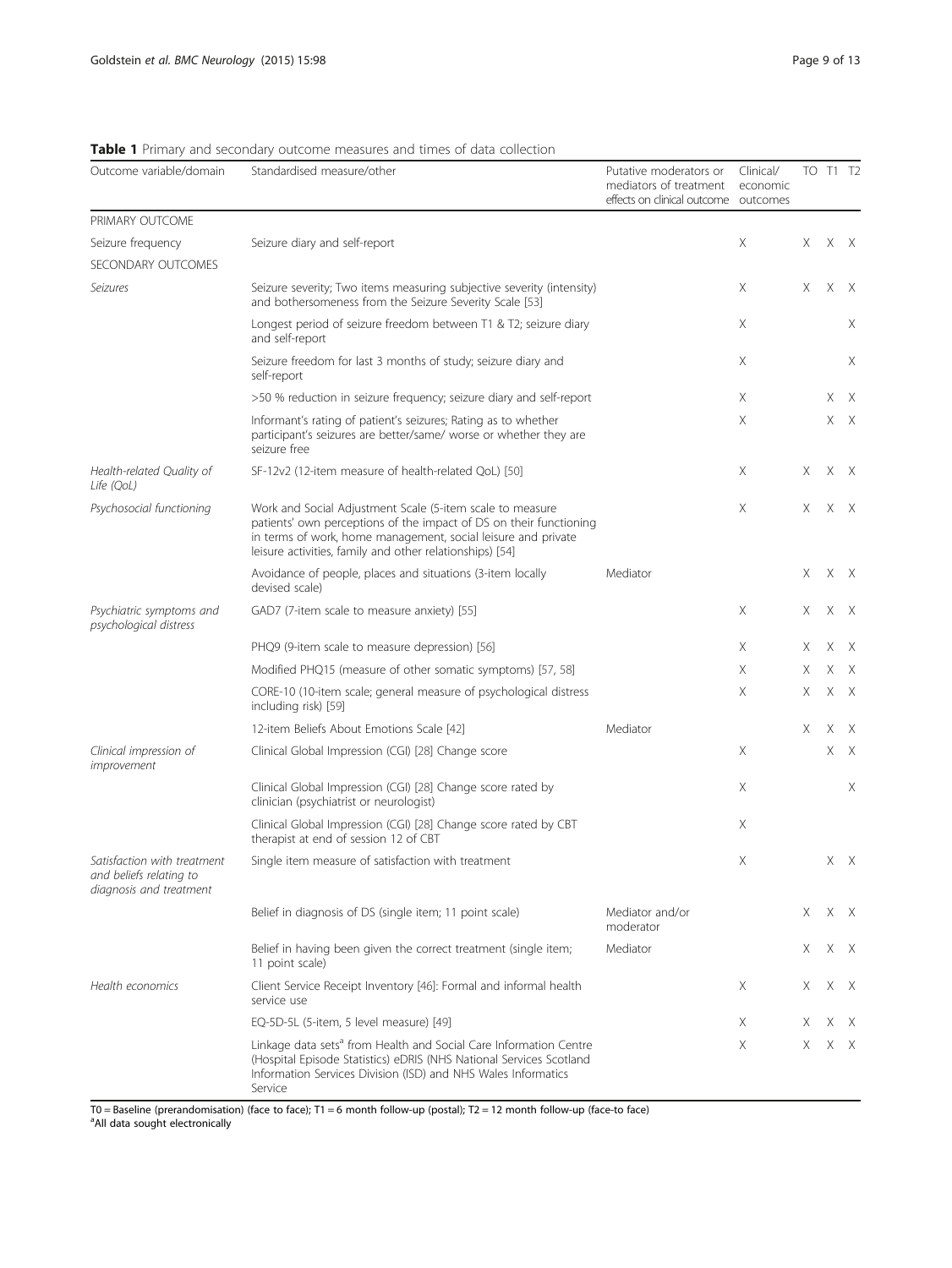| Outcome variable/domain                                                           | Standardised measure/other                                                                                                                                                                                                                                   | Putative moderators or<br>mediators of treatment<br>effects on clinical outcome | Clinical/<br>economic<br>outcomes |    | TO T1 T2 |   |
|-----------------------------------------------------------------------------------|--------------------------------------------------------------------------------------------------------------------------------------------------------------------------------------------------------------------------------------------------------------|---------------------------------------------------------------------------------|-----------------------------------|----|----------|---|
| PRIMARY OUTCOME                                                                   |                                                                                                                                                                                                                                                              |                                                                                 |                                   |    |          |   |
| Seizure frequency<br>SECONDARY OUTCOMES                                           | Seizure diary and self-report                                                                                                                                                                                                                                |                                                                                 | X.                                | X. | X X      |   |
| Seizures                                                                          | Seizure severity; Two items measuring subjective severity (intensity)<br>and bothersomeness from the Seizure Severity Scale [53]                                                                                                                             |                                                                                 | Χ                                 | X  | Χ        | X |
|                                                                                   | Longest period of seizure freedom between T1 & T2; seizure diary<br>and self-report                                                                                                                                                                          |                                                                                 | X.                                |    |          | Χ |
|                                                                                   | Seizure freedom for last 3 months of study; seizure diary and<br>self-report                                                                                                                                                                                 |                                                                                 | Χ                                 |    |          | Χ |
|                                                                                   | >50 % reduction in seizure frequency; seizure diary and self-report                                                                                                                                                                                          |                                                                                 | Χ                                 |    | X.       | X |
|                                                                                   | Informant's rating of patient's seizures; Rating as to whether<br>participant's seizures are better/same/ worse or whether they are<br>seizure free                                                                                                          |                                                                                 | X                                 |    | X X      |   |
| Health-related Quality of<br>Life (QoL)                                           | SF-12v2 (12-item measure of health-related QoL) [50]                                                                                                                                                                                                         |                                                                                 | Χ                                 | Χ  | X X      |   |
| Psychosocial functioning                                                          | Work and Social Adjustment Scale (5-item scale to measure<br>patients' own perceptions of the impact of DS on their functioning<br>in terms of work, home management, social leisure and private<br>leisure activities, family and other relationships) [54] |                                                                                 | Χ                                 | X  | X X      |   |
|                                                                                   | Avoidance of people, places and situations (3-item locally<br>devised scale)                                                                                                                                                                                 | Mediator                                                                        |                                   | X  | X X      |   |
| Psychiatric symptoms and<br>psychological distress                                | GAD7 (7-item scale to measure anxiety) [55]                                                                                                                                                                                                                  |                                                                                 | X                                 | Χ  | X X      |   |
|                                                                                   | PHQ9 (9-item scale to measure depression) [56]                                                                                                                                                                                                               |                                                                                 | Χ                                 | X  | XX       |   |
|                                                                                   | Modified PHQ15 (measure of other somatic symptoms) [57, 58]                                                                                                                                                                                                  |                                                                                 | X                                 | X  | Х        | X |
|                                                                                   | CORE-10 (10-item scale; general measure of psychological distress<br>including risk) [59]                                                                                                                                                                    |                                                                                 | X                                 | Х  | X X      |   |
|                                                                                   | 12-item Beliefs About Emotions Scale [42]                                                                                                                                                                                                                    | Mediator                                                                        |                                   | X  | Χ        | X |
| Clinical impression of<br>improvement                                             | Clinical Global Impression (CGI) [28] Change score                                                                                                                                                                                                           |                                                                                 | Χ                                 |    | X X      |   |
|                                                                                   | Clinical Global Impression (CGI) [28] Change score rated by<br>clinician (psychiatrist or neurologist)                                                                                                                                                       |                                                                                 | Χ                                 |    |          | Χ |
|                                                                                   | Clinical Global Impression (CGI) [28] Change score rated by CBT<br>therapist at end of session 12 of CBT                                                                                                                                                     |                                                                                 | Χ                                 |    |          |   |
| Satisfaction with treatment<br>and beliefs relating to<br>diagnosis and treatment | Single item measure of satisfaction with treatment                                                                                                                                                                                                           |                                                                                 | Χ                                 |    | X X      |   |
|                                                                                   | Belief in diagnosis of DS (single item; 11 point scale)                                                                                                                                                                                                      | Mediator and/or<br>moderator                                                    |                                   | X  | X X      |   |
|                                                                                   | Belief in having been given the correct treatment (single item;<br>11 point scale)                                                                                                                                                                           | Mediator                                                                        |                                   | X  | X X      |   |
| Health economics                                                                  | Client Service Receipt Inventory [46]: Formal and informal health<br>service use                                                                                                                                                                             |                                                                                 | X                                 | X  | X X      |   |
|                                                                                   | EQ-5D-5L (5-item, 5 level measure) [49]                                                                                                                                                                                                                      |                                                                                 | Χ                                 | X  | X X      |   |
|                                                                                   | Linkage data sets <sup>a</sup> from Health and Social Care Information Centre<br>(Hospital Episode Statistics) eDRIS (NHS National Services Scotland<br>Information Services Division (ISD) and NHS Wales Informatics                                        |                                                                                 | Χ                                 | X  | X X      |   |

#### <span id="page-8-0"></span>**Table 1** Primary and secondary outcome measures and times of data collection

T0 = Baseline (prerandomisation) (face to face); T1 = 6 month follow-up (postal); T2 = 12 month follow-up (face-to face) a All data sought electronically

Service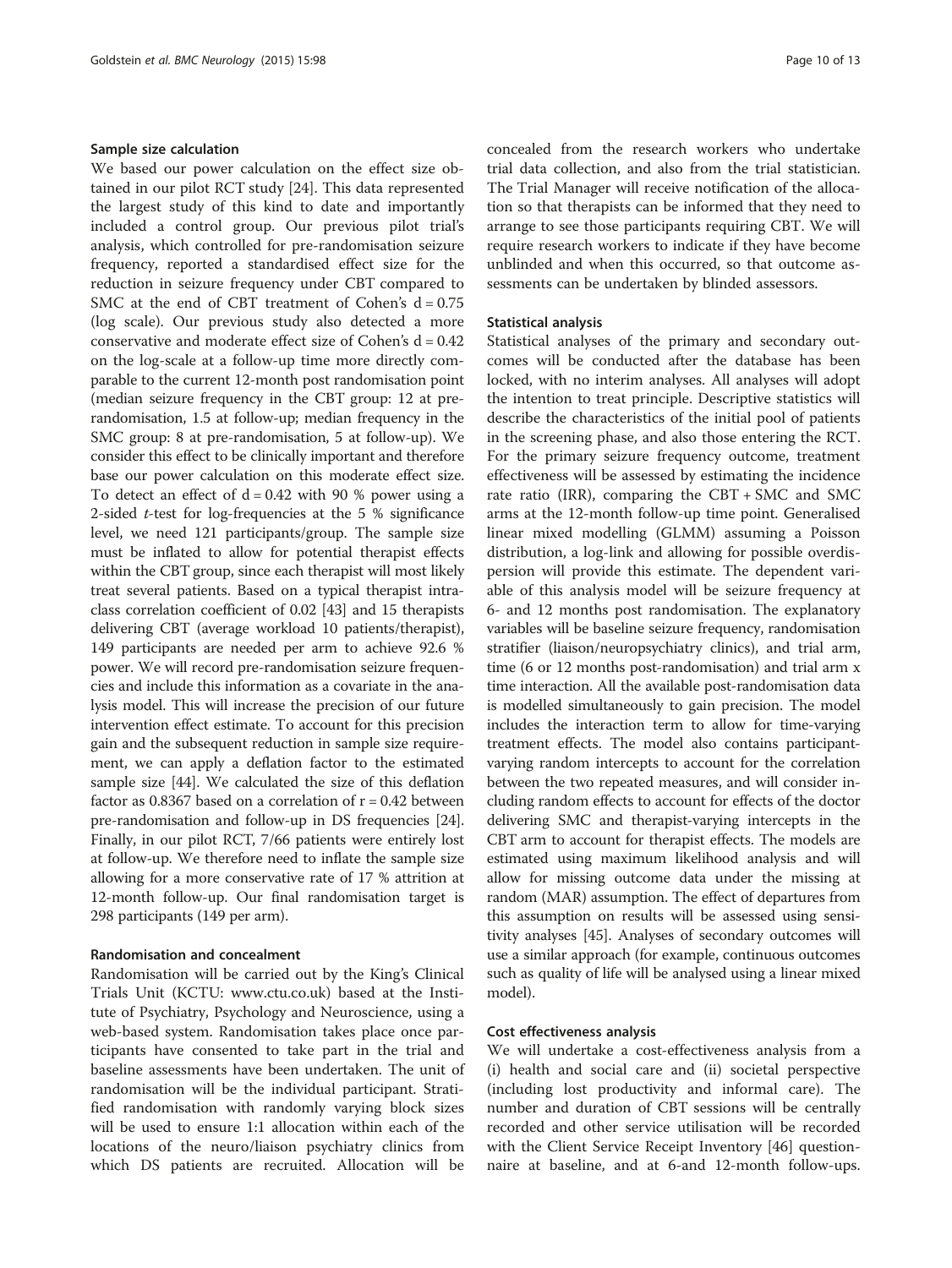#### Sample size calculation

We based our power calculation on the effect size obtained in our pilot RCT study [[24](#page-12-0)]. This data represented the largest study of this kind to date and importantly included a control group. Our previous pilot trial's analysis, which controlled for pre-randomisation seizure frequency, reported a standardised effect size for the reduction in seizure frequency under CBT compared to SMC at the end of CBT treatment of Cohen's  $d = 0.75$ (log scale). Our previous study also detected a more conservative and moderate effect size of Cohen's d = 0.42 on the log-scale at a follow-up time more directly comparable to the current 12-month post randomisation point (median seizure frequency in the CBT group: 12 at prerandomisation, 1.5 at follow-up; median frequency in the SMC group: 8 at pre-randomisation, 5 at follow-up). We consider this effect to be clinically important and therefore base our power calculation on this moderate effect size. To detect an effect of  $d = 0.42$  with 90 % power using a 2-sided  $t$ -test for log-frequencies at the 5 % significance level, we need 121 participants/group. The sample size must be inflated to allow for potential therapist effects within the CBT group, since each therapist will most likely treat several patients. Based on a typical therapist intraclass correlation coefficient of 0.02 [\[43](#page-12-0)] and 15 therapists delivering CBT (average workload 10 patients/therapist), 149 participants are needed per arm to achieve 92.6 % power. We will record pre-randomisation seizure frequencies and include this information as a covariate in the analysis model. This will increase the precision of our future intervention effect estimate. To account for this precision gain and the subsequent reduction in sample size requirement, we can apply a deflation factor to the estimated sample size [\[44\]](#page-12-0). We calculated the size of this deflation factor as 0.8367 based on a correlation of  $r = 0.42$  between pre-randomisation and follow-up in DS frequencies [[24](#page-12-0)]. Finally, in our pilot RCT, 7/66 patients were entirely lost at follow-up. We therefore need to inflate the sample size allowing for a more conservative rate of 17 % attrition at 12-month follow-up. Our final randomisation target is 298 participants (149 per arm).

#### Randomisation and concealment

Randomisation will be carried out by the King's Clinical Trials Unit (KCTU: [www.ctu.co.uk](http://www.ctu.co.uk)) based at the Institute of Psychiatry, Psychology and Neuroscience, using a web-based system. Randomisation takes place once participants have consented to take part in the trial and baseline assessments have been undertaken. The unit of randomisation will be the individual participant. Stratified randomisation with randomly varying block sizes will be used to ensure 1:1 allocation within each of the locations of the neuro/liaison psychiatry clinics from which DS patients are recruited. Allocation will be concealed from the research workers who undertake trial data collection, and also from the trial statistician. The Trial Manager will receive notification of the allocation so that therapists can be informed that they need to arrange to see those participants requiring CBT. We will require research workers to indicate if they have become unblinded and when this occurred, so that outcome assessments can be undertaken by blinded assessors.

#### Statistical analysis

Statistical analyses of the primary and secondary outcomes will be conducted after the database has been locked, with no interim analyses. All analyses will adopt the intention to treat principle. Descriptive statistics will describe the characteristics of the initial pool of patients in the screening phase, and also those entering the RCT. For the primary seizure frequency outcome, treatment effectiveness will be assessed by estimating the incidence rate ratio (IRR), comparing the CBT + SMC and SMC arms at the 12-month follow-up time point. Generalised linear mixed modelling (GLMM) assuming a Poisson distribution, a log-link and allowing for possible overdispersion will provide this estimate. The dependent variable of this analysis model will be seizure frequency at 6- and 12 months post randomisation. The explanatory variables will be baseline seizure frequency, randomisation stratifier (liaison/neuropsychiatry clinics), and trial arm, time (6 or 12 months post-randomisation) and trial arm x time interaction. All the available post-randomisation data is modelled simultaneously to gain precision. The model includes the interaction term to allow for time-varying treatment effects. The model also contains participantvarying random intercepts to account for the correlation between the two repeated measures, and will consider including random effects to account for effects of the doctor delivering SMC and therapist-varying intercepts in the CBT arm to account for therapist effects. The models are estimated using maximum likelihood analysis and will allow for missing outcome data under the missing at random (MAR) assumption. The effect of departures from this assumption on results will be assessed using sensitivity analyses [\[45\]](#page-12-0). Analyses of secondary outcomes will use a similar approach (for example, continuous outcomes such as quality of life will be analysed using a linear mixed model).

#### Cost effectiveness analysis

We will undertake a cost-effectiveness analysis from a (i) health and social care and (ii) societal perspective (including lost productivity and informal care). The number and duration of CBT sessions will be centrally recorded and other service utilisation will be recorded with the Client Service Receipt Inventory [\[46](#page-12-0)] questionnaire at baseline, and at 6-and 12-month follow-ups.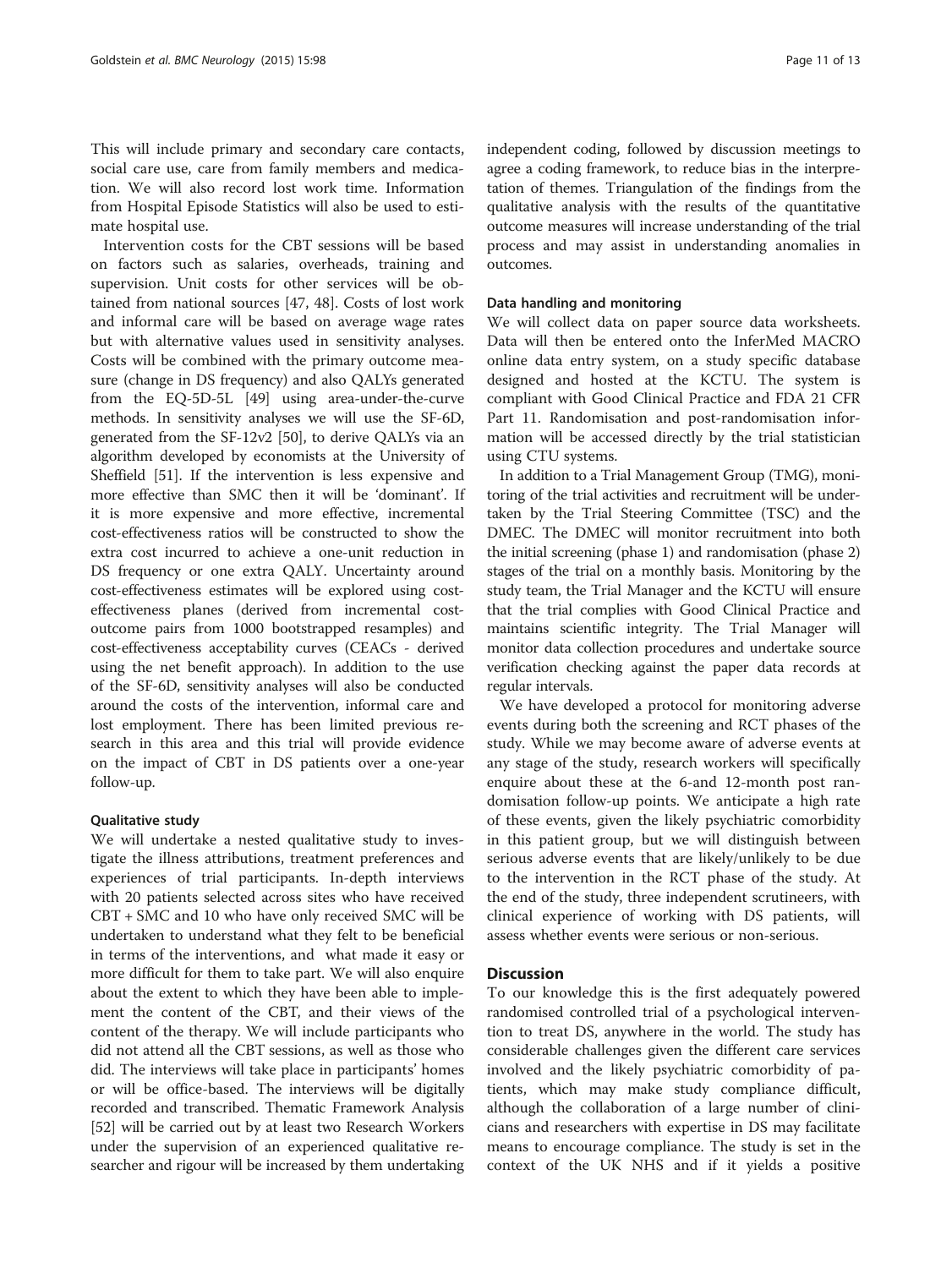This will include primary and secondary care contacts, social care use, care from family members and medication. We will also record lost work time. Information from Hospital Episode Statistics will also be used to estimate hospital use.

Intervention costs for the CBT sessions will be based on factors such as salaries, overheads, training and supervision. Unit costs for other services will be obtained from national sources [\[47](#page-12-0), [48](#page-12-0)]. Costs of lost work and informal care will be based on average wage rates but with alternative values used in sensitivity analyses. Costs will be combined with the primary outcome measure (change in DS frequency) and also QALYs generated from the EQ-5D-5L [\[49\]](#page-12-0) using area-under-the-curve methods. In sensitivity analyses we will use the SF-6D, generated from the SF-12v2 [[50\]](#page-12-0), to derive QALYs via an algorithm developed by economists at the University of Sheffield [\[51\]](#page-12-0). If the intervention is less expensive and more effective than SMC then it will be 'dominant'. If it is more expensive and more effective, incremental cost-effectiveness ratios will be constructed to show the extra cost incurred to achieve a one-unit reduction in DS frequency or one extra QALY. Uncertainty around cost-effectiveness estimates will be explored using costeffectiveness planes (derived from incremental costoutcome pairs from 1000 bootstrapped resamples) and cost-effectiveness acceptability curves (CEACs - derived using the net benefit approach). In addition to the use of the SF-6D, sensitivity analyses will also be conducted around the costs of the intervention, informal care and lost employment. There has been limited previous research in this area and this trial will provide evidence on the impact of CBT in DS patients over a one-year follow-up.

#### Qualitative study

We will undertake a nested qualitative study to investigate the illness attributions, treatment preferences and experiences of trial participants. In-depth interviews with 20 patients selected across sites who have received CBT + SMC and 10 who have only received SMC will be undertaken to understand what they felt to be beneficial in terms of the interventions, and what made it easy or more difficult for them to take part. We will also enquire about the extent to which they have been able to implement the content of the CBT, and their views of the content of the therapy. We will include participants who did not attend all the CBT sessions, as well as those who did. The interviews will take place in participants' homes or will be office-based. The interviews will be digitally recorded and transcribed. Thematic Framework Analysis [[52](#page-12-0)] will be carried out by at least two Research Workers under the supervision of an experienced qualitative researcher and rigour will be increased by them undertaking independent coding, followed by discussion meetings to agree a coding framework, to reduce bias in the interpretation of themes. Triangulation of the findings from the qualitative analysis with the results of the quantitative outcome measures will increase understanding of the trial process and may assist in understanding anomalies in outcomes.

#### Data handling and monitoring

We will collect data on paper source data worksheets. Data will then be entered onto the InferMed MACRO online data entry system, on a study specific database designed and hosted at the KCTU. The system is compliant with Good Clinical Practice and FDA 21 CFR Part 11. Randomisation and post-randomisation information will be accessed directly by the trial statistician using CTU systems.

In addition to a Trial Management Group (TMG), monitoring of the trial activities and recruitment will be undertaken by the Trial Steering Committee (TSC) and the DMEC. The DMEC will monitor recruitment into both the initial screening (phase 1) and randomisation (phase 2) stages of the trial on a monthly basis. Monitoring by the study team, the Trial Manager and the KCTU will ensure that the trial complies with Good Clinical Practice and maintains scientific integrity. The Trial Manager will monitor data collection procedures and undertake source verification checking against the paper data records at regular intervals.

We have developed a protocol for monitoring adverse events during both the screening and RCT phases of the study. While we may become aware of adverse events at any stage of the study, research workers will specifically enquire about these at the 6-and 12-month post randomisation follow-up points. We anticipate a high rate of these events, given the likely psychiatric comorbidity in this patient group, but we will distinguish between serious adverse events that are likely/unlikely to be due to the intervention in the RCT phase of the study. At the end of the study, three independent scrutineers, with clinical experience of working with DS patients, will assess whether events were serious or non-serious.

#### **Discussion**

To our knowledge this is the first adequately powered randomised controlled trial of a psychological intervention to treat DS, anywhere in the world. The study has considerable challenges given the different care services involved and the likely psychiatric comorbidity of patients, which may make study compliance difficult, although the collaboration of a large number of clinicians and researchers with expertise in DS may facilitate means to encourage compliance. The study is set in the context of the UK NHS and if it yields a positive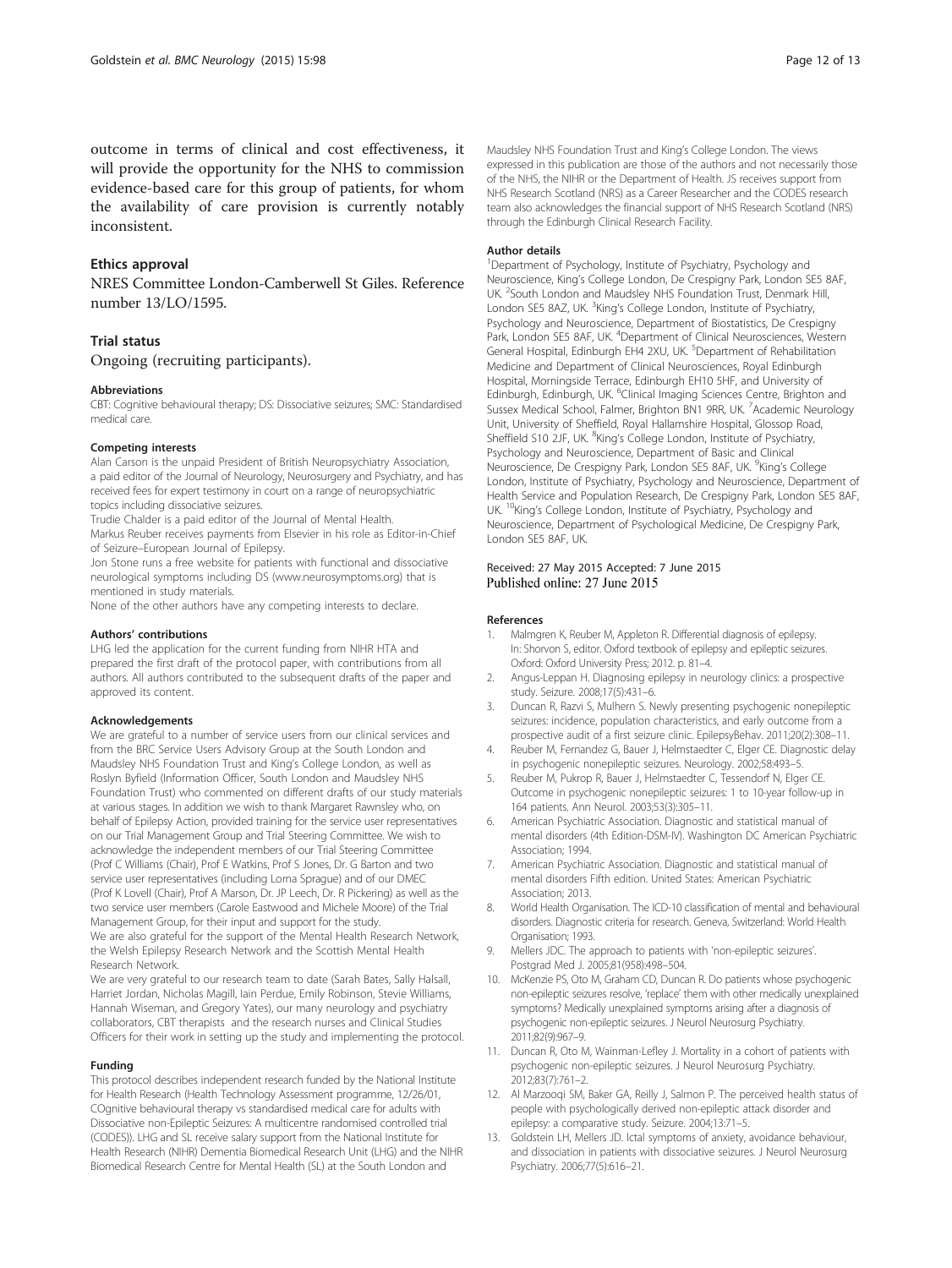<span id="page-11-0"></span>outcome in terms of clinical and cost effectiveness, it will provide the opportunity for the NHS to commission evidence-based care for this group of patients, for whom the availability of care provision is currently notably inconsistent.

#### Ethics approval

NRES Committee London-Camberwell St Giles. Reference number 13/LO/1595.

#### Trial status

Ongoing (recruiting participants).

#### Abbreviations

CBT: Cognitive behavioural therapy; DS: Dissociative seizures; SMC: Standardised medical care.

#### Competing interests

Alan Carson is the unpaid President of British Neuropsychiatry Association, a paid editor of the Journal of Neurology, Neurosurgery and Psychiatry, and has received fees for expert testimony in court on a range of neuropsychiatric topics including dissociative seizures.

Trudie Chalder is a paid editor of the Journal of Mental Health. Markus Reuber receives payments from Elsevier in his role as Editor-in-Chief of Seizure–European Journal of Epilepsy.

Jon Stone runs a free website for patients with functional and dissociative neurological symptoms including DS [\(www.neurosymptoms.org](http://www.neurosymptoms.org)) that is mentioned in study materials.

None of the other authors have any competing interests to declare.

#### Authors' contributions

LHG led the application for the current funding from NIHR HTA and prepared the first draft of the protocol paper, with contributions from all authors. All authors contributed to the subsequent drafts of the paper and approved its content.

#### Acknowledgements

We are grateful to a number of service users from our clinical services and from the BRC Service Users Advisory Group at the South London and Maudsley NHS Foundation Trust and King's College London, as well as Roslyn Byfield (Information Officer, South London and Maudsley NHS Foundation Trust) who commented on different drafts of our study materials at various stages. In addition we wish to thank Margaret Rawnsley who, on behalf of Epilepsy Action, provided training for the service user representatives on our Trial Management Group and Trial Steering Committee. We wish to acknowledge the independent members of our Trial Steering Committee (Prof C Williams (Chair), Prof E Watkins, Prof S Jones, Dr. G Barton and two service user representatives (including Lorna Sprague) and of our DMEC (Prof K Lovell (Chair), Prof A Marson, Dr. JP Leech, Dr. R Pickering) as well as the two service user members (Carole Eastwood and Michele Moore) of the Trial Management Group, for their input and support for the study. We are also grateful for the support of the Mental Health Research Network, the Welsh Epilepsy Research Network and the Scottish Mental Health Research Network.

We are very grateful to our research team to date (Sarah Bates, Sally Halsall, Harriet Jordan, Nicholas Magill, Iain Perdue, Emily Robinson, Stevie Williams, Hannah Wiseman, and Gregory Yates), our many neurology and psychiatry collaborators, CBT therapists and the research nurses and Clinical Studies Officers for their work in setting up the study and implementing the protocol.

#### Funding

This protocol describes independent research funded by the National Institute for Health Research (Health Technology Assessment programme, 12/26/01, COgnitive behavioural therapy vs standardised medical care for adults with Dissociative non-Epileptic Seizures: A multicentre randomised controlled trial (CODES)). LHG and SL receive salary support from the National Institute for Health Research (NIHR) Dementia Biomedical Research Unit (LHG) and the NIHR Biomedical Research Centre for Mental Health (SL) at the South London and

Maudsley NHS Foundation Trust and King's College London. The views expressed in this publication are those of the authors and not necessarily those of the NHS, the NIHR or the Department of Health. JS receives support from NHS Research Scotland (NRS) as a Career Researcher and the CODES research team also acknowledges the financial support of NHS Research Scotland (NRS) through the Edinburgh Clinical Research Facility.

#### Author details

<sup>1</sup>Department of Psychology, Institute of Psychiatry, Psychology and Neuroscience, King's College London, De Crespigny Park, London SE5 8AF, UK. <sup>2</sup>South London and Maudsley NHS Foundation Trust, Denmark Hill, London SE5 8AZ, UK.<sup>3</sup>King's College London, Institute of Psychiatry, Psychology and Neuroscience, Department of Biostatistics, De Crespigny Park, London SE5 8AF, UK. <sup>4</sup>Department of Clinical Neurosciences, Western General Hospital, Edinburgh EH4 2XU, UK. <sup>5</sup>Department of Rehabilitation Medicine and Department of Clinical Neurosciences, Royal Edinburgh Hospital, Morningside Terrace, Edinburgh EH10 5HF, and University of Edinburgh, Edinburgh, UK. <sup>6</sup>Clinical Imaging Sciences Centre, Brighton and Sussex Medical School, Falmer, Brighton BN1 9RR, UK. <sup>7</sup>Academic Neurology Unit, University of Sheffield, Royal Hallamshire Hospital, Glossop Road, Sheffield S10 2JF, UK. <sup>8</sup>King's College London, Institute of Psychiatry, Psychology and Neuroscience, Department of Basic and Clinical Neuroscience, De Crespigny Park, London SE5 8AF, UK. <sup>9</sup>King's College London, Institute of Psychiatry, Psychology and Neuroscience, Department of Health Service and Population Research, De Crespigny Park, London SE5 8AF, UK.<sup>10</sup>King's College London, Institute of Psychiatry, Psychology and Neuroscience, Department of Psychological Medicine, De Crespigny Park, London SE5 8AF, UK.

#### Received: 27 May 2015 Accepted: 7 June 2015 Published online: 27 June 2015

#### References

- 1. Malmgren K, Reuber M, Appleton R. Differential diagnosis of epilepsy. In: Shorvon S, editor. Oxford textbook of epilepsy and epileptic seizures. Oxford: Oxford University Press; 2012. p. 81–4.
- 2. Angus-Leppan H. Diagnosing epilepsy in neurology clinics: a prospective study. Seizure. 2008;17(5):431–6.
- 3. Duncan R, Razvi S, Mulhern S. Newly presenting psychogenic nonepileptic seizures: incidence, population characteristics, and early outcome from a prospective audit of a first seizure clinic. EpilepsyBehav. 2011;20(2):308–11.
- 4. Reuber M, Fernandez G, Bauer J, Helmstaedter C, Elger CE. Diagnostic delay in psychogenic nonepileptic seizures. Neurology. 2002;58:493–5.
- 5. Reuber M, Pukrop R, Bauer J, Helmstaedter C, Tessendorf N, Elger CE. Outcome in psychogenic nonepileptic seizures: 1 to 10-year follow-up in 164 patients. Ann Neurol. 2003;53(3):305–11.
- 6. American Psychiatric Association. Diagnostic and statistical manual of mental disorders (4th Edition-DSM-IV). Washington DC American Psychiatric Association; 1994.
- 7. American Psychiatric Association. Diagnostic and statistical manual of mental disorders Fifth edition. United States: American Psychiatric Association; 2013.
- 8. World Health Organisation. The ICD-10 classification of mental and behavioural disorders. Diagnostic criteria for research. Geneva, Switzerland: World Health Organisation; 1993.
- 9. Mellers JDC. The approach to patients with 'non-epileptic seizures'. Postgrad Med J. 2005;81(958):498–504.
- 10. McKenzie PS, Oto M, Graham CD, Duncan R. Do patients whose psychogenic non-epileptic seizures resolve, 'replace' them with other medically unexplained symptoms? Medically unexplained symptoms arising after a diagnosis of psychogenic non-epileptic seizures. J Neurol Neurosurg Psychiatry. 2011;82(9):967–9.
- 11. Duncan R, Oto M, Wainman-Lefley J. Mortality in a cohort of patients with psychogenic non-epileptic seizures. J Neurol Neurosurg Psychiatry. 2012;83(7):761–2.
- 12. Al Marzooqi SM, Baker GA, Reilly J, Salmon P. The perceived health status of people with psychologically derived non-epileptic attack disorder and epilepsy: a comparative study. Seizure. 2004;13:71–5.
- 13. Goldstein LH, Mellers JD. Ictal symptoms of anxiety, avoidance behaviour, and dissociation in patients with dissociative seizures. J Neurol Neurosurg Psychiatry. 2006;77(5):616–21.